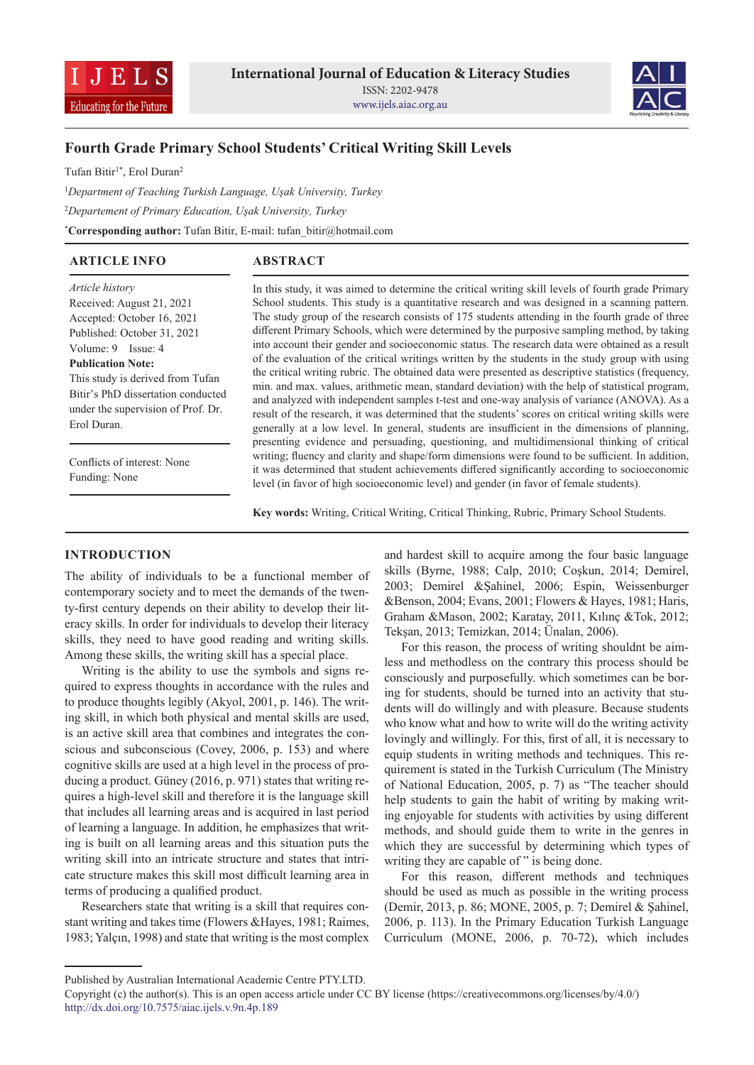



# **Fourth Grade Primary School Students' Critical Writing Skill Levels**

Tufan Bitir<sup>1\*</sup>, Erol Duran<sup>2</sup>

<sup>1</sup>*Department of Teaching Turkish Language, Uşak University, Turkey* <sup>2</sup>*Departement of Primary Education, Uşak University, Turkey* \***Corresponding author:** Tufan Bitir, E-mail: tufan\_bitir@hotmail.com

# **ARTICLE INFO**

# **ABSTRACT**

*Article history* Received: August 21, 2021 Accepted: October 16, 2021 Published: October 31, 2021 Volume: 9 Issue: 4 **Publication Note:** This study is derived from Tufan Bitir's PhD dissertation conducted

under the supervision of Prof. Dr. Erol Duran.

Conflicts of interest: None Funding: None

In this study, it was aimed to determine the critical writing skill levels of fourth grade Primary School students. This study is a quantitative research and was designed in a scanning pattern. The study group of the research consists of 175 students attending in the fourth grade of three different Primary Schools, which were determined by the purposive sampling method, by taking into account their gender and socioeconomic status. The research data were obtained as a result of the evaluation of the critical writings written by the students in the study group with using the critical writing rubric. The obtained data were presented as descriptive statistics (frequency, min. and max. values, arithmetic mean, standard deviation) with the help of statistical program, and analyzed with independent samples t-test and one-way analysis of variance (ANOVA). As a result of the research, it was determined that the students' scores on critical writing skills were generally at a low level. In general, students are insufficient in the dimensions of planning, presenting evidence and persuading, questioning, and multidimensional thinking of critical writing; fluency and clarity and shape/form dimensions were found to be sufficient. In addition, it was determined that student achievements differed significantly according to socioeconomic level (in favor of high socioeconomic level) and gender (in favor of female students).

**Key words:** Writing, Critical Writing, Critical Thinking, Rubric, Primary School Students.

# **INTRODUCTION**

The ability of individuals to be a functional member of contemporary society and to meet the demands of the twenty-first century depends on their ability to develop their literacy skills. In order for individuals to develop their literacy skills, they need to have good reading and writing skills. Among these skills, the writing skill has a special place.

Writing is the ability to use the symbols and signs required to express thoughts in accordance with the rules and to produce thoughts legibly (Akyol, 2001, p. 146). The writing skill, in which both physical and mental skills are used, is an active skill area that combines and integrates the conscious and subconscious (Covey, 2006, p. 153) and where cognitive skills are used at a high level in the process of producing a product. Güney (2016, p. 971) states that writing requires a high-level skill and therefore it is the language skill that includes all learning areas and is acquired in last period of learning a language. In addition, he emphasizes that writing is built on all learning areas and this situation puts the writing skill into an intricate structure and states that intricate structure makes this skill most difficult learning area in terms of producing a qualified product.

Researchers state that writing is a skill that requires constant writing and takes time (Flowers &Hayes, 1981; Raimes, 1983; Yalçın, 1998) and state that writing is the most complex and hardest skill to acquire among the four basic language skills (Byrne, 1988; Calp, 2010; Coşkun, 2014; Demirel, 2003; Demirel &Şahinel, 2006; Espin, Weissenburger &Benson, 2004; Evans, 2001; Flowers & Hayes, 1981; Haris, Graham &Mason, 2002; Karatay, 2011, Kılınç &Tok, 2012; Tekşan, 2013; Temizkan, 2014; Ünalan, 2006).

For this reason, the process of writing shouldnt be aimless and methodless on the contrary this process should be consciously and purposefully. which sometimes can be boring for students, should be turned into an activity that students will do willingly and with pleasure. Because students who know what and how to write will do the writing activity lovingly and willingly. For this, first of all, it is necessary to equip students in writing methods and techniques. This requirement is stated in the Turkish Curriculum (The Ministry of National Education, 2005, p. 7) as "The teacher should help students to gain the habit of writing by making writing enjoyable for students with activities by using different methods, and should guide them to write in the genres in which they are successful by determining which types of writing they are capable of " is being done.

For this reason, different methods and techniques should be used as much as possible in the writing process (Demir, 2013, p. 86; MONE, 2005, p. 7; Demirel & Şahinel, 2006, p. 113). In the Primary Education Turkish Language Curriculum (MONE, 2006, p. 70-72), which includes

Published by Australian International Academic Centre PTY.LTD.

Copyright (c) the author(s). This is an open access article under CC BY license (https://creativecommons.org/licenses/by/4.0/) http://dx.doi.org/10.7575/aiac.ijels.v.9n.4p.189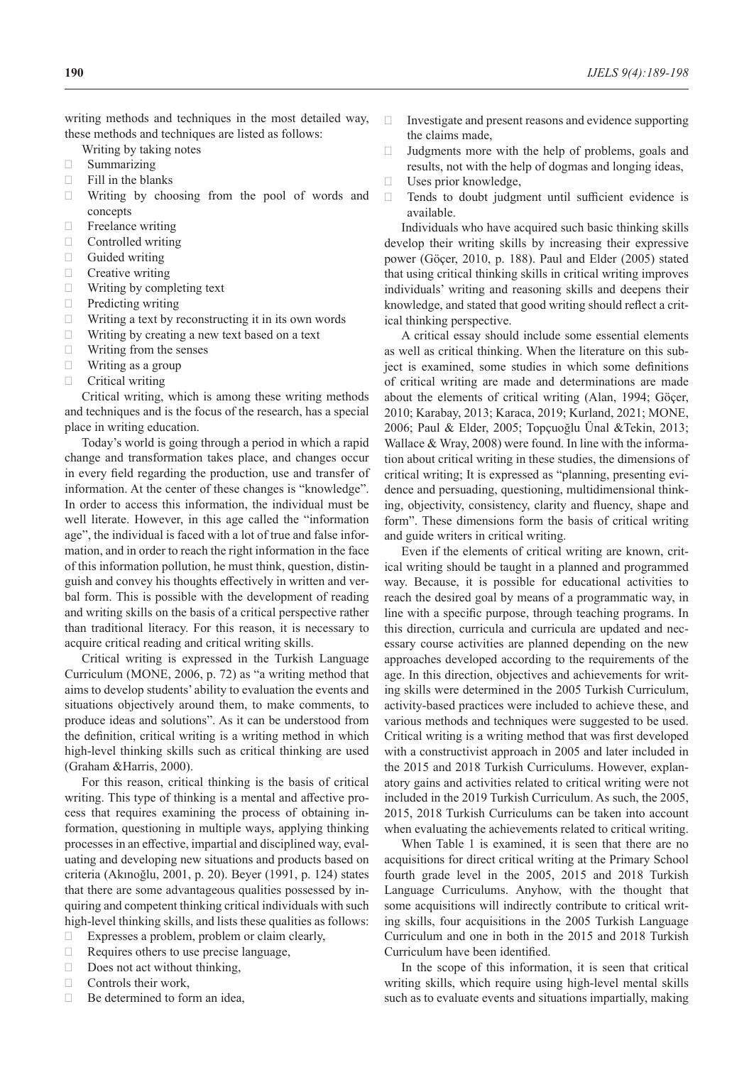writing methods and techniques in the most detailed way, these methods and techniques are listed as follows:

- Writing by taking notes
- · Summarizing
- $\Box$  Fill in the blanks
- $\Box$  Writing by choosing from the pool of words and concepts
- **Freelance writing**
- · Controlled writing
- $\Box$  Guided writing
- $\Box$  Creative writing
- $\Box$  Writing by completing text
- $\Box$  Predicting writing
- $\Box$  Writing a text by reconstructing it in its own words
- $\Box$  Writing by creating a new text based on a text
- $\Box$  Writing from the senses
- $\Box$  Writing as a group
- $\Box$  Critical writing

Critical writing, which is among these writing methods and techniques and is the focus of the research, has a special place in writing education.

Today's world is going through a period in which a rapid change and transformation takes place, and changes occur in every field regarding the production, use and transfer of information. At the center of these changes is "knowledge". In order to access this information, the individual must be well literate. However, in this age called the "information age", the individual is faced with a lot of true and false information, and in order to reach the right information in the face of this information pollution, he must think, question, distinguish and convey his thoughts effectively in written and verbal form. This is possible with the development of reading and writing skills on the basis of a critical perspective rather than traditional literacy. For this reason, it is necessary to acquire critical reading and critical writing skills.

Critical writing is expressed in the Turkish Language Curriculum (MONE, 2006, p. 72) as "a writing method that aims to develop students' ability to evaluation the events and situations objectively around them, to make comments, to produce ideas and solutions". As it can be understood from the definition, critical writing is a writing method in which high-level thinking skills such as critical thinking are used (Graham &Harris, 2000).

For this reason, critical thinking is the basis of critical writing. This type of thinking is a mental and affective process that requires examining the process of obtaining information, questioning in multiple ways, applying thinking processes in an effective, impartial and disciplined way, evaluating and developing new situations and products based on criteria (Akınoğlu, 2001, p. 20). Beyer (1991, p. 124) states that there are some advantageous qualities possessed by inquiring and competent thinking critical individuals with such high-level thinking skills, and lists these qualities as follows:

- $\Box$  Expresses a problem, problem or claim clearly,
- $\Box$  Requires others to use precise language,
- $\Box$  Does not act without thinking,
- $\Box$  Controls their work,
- $\Box$  Be determined to form an idea,
- $\Box$  Investigate and present reasons and evidence supporting the claims made,
- $\Box$  Judgments more with the help of problems, goals and results, not with the help of dogmas and longing ideas,
- $\Box$  Uses prior knowledge,
- $\Box$  Tends to doubt judgment until sufficient evidence is available.

Individuals who have acquired such basic thinking skills develop their writing skills by increasing their expressive power (Göçer, 2010, p. 188). Paul and Elder (2005) stated that using critical thinking skills in critical writing improves individuals' writing and reasoning skills and deepens their knowledge, and stated that good writing should reflect a critical thinking perspective.

A critical essay should include some essential elements as well as critical thinking. When the literature on this subject is examined, some studies in which some definitions of critical writing are made and determinations are made about the elements of critical writing (Alan, 1994; Göçer, 2010; Karabay, 2013; Karaca, 2019; Kurland, 2021; MONE, 2006; Paul & Elder, 2005; Topçuoğlu Ünal &Tekin, 2013; Wallace & Wray, 2008) were found. In line with the information about critical writing in these studies, the dimensions of critical writing; It is expressed as "planning, presenting evidence and persuading, questioning, multidimensional thinking, objectivity, consistency, clarity and fluency, shape and form". These dimensions form the basis of critical writing and guide writers in critical writing.

Even if the elements of critical writing are known, critical writing should be taught in a planned and programmed way. Because, it is possible for educational activities to reach the desired goal by means of a programmatic way, in line with a specific purpose, through teaching programs. In this direction, curricula and curricula are updated and necessary course activities are planned depending on the new approaches developed according to the requirements of the age. In this direction, objectives and achievements for writing skills were determined in the 2005 Turkish Curriculum, activity-based practices were included to achieve these, and various methods and techniques were suggested to be used. Critical writing is a writing method that was first developed with a constructivist approach in 2005 and later included in the 2015 and 2018 Turkish Curriculums. However, explanatory gains and activities related to critical writing were not included in the 2019 Turkish Curriculum. As such, the 2005, 2015, 2018 Turkish Curriculums can be taken into account when evaluating the achievements related to critical writing.

When Table 1 is examined, it is seen that there are no acquisitions for direct critical writing at the Primary School fourth grade level in the 2005, 2015 and 2018 Turkish Language Curriculums. Anyhow, with the thought that some acquisitions will indirectly contribute to critical writing skills, four acquisitions in the 2005 Turkish Language Curriculum and one in both in the 2015 and 2018 Turkish Curriculum have been identified.

In the scope of this information, it is seen that critical writing skills, which require using high-level mental skills such as to evaluate events and situations impartially, making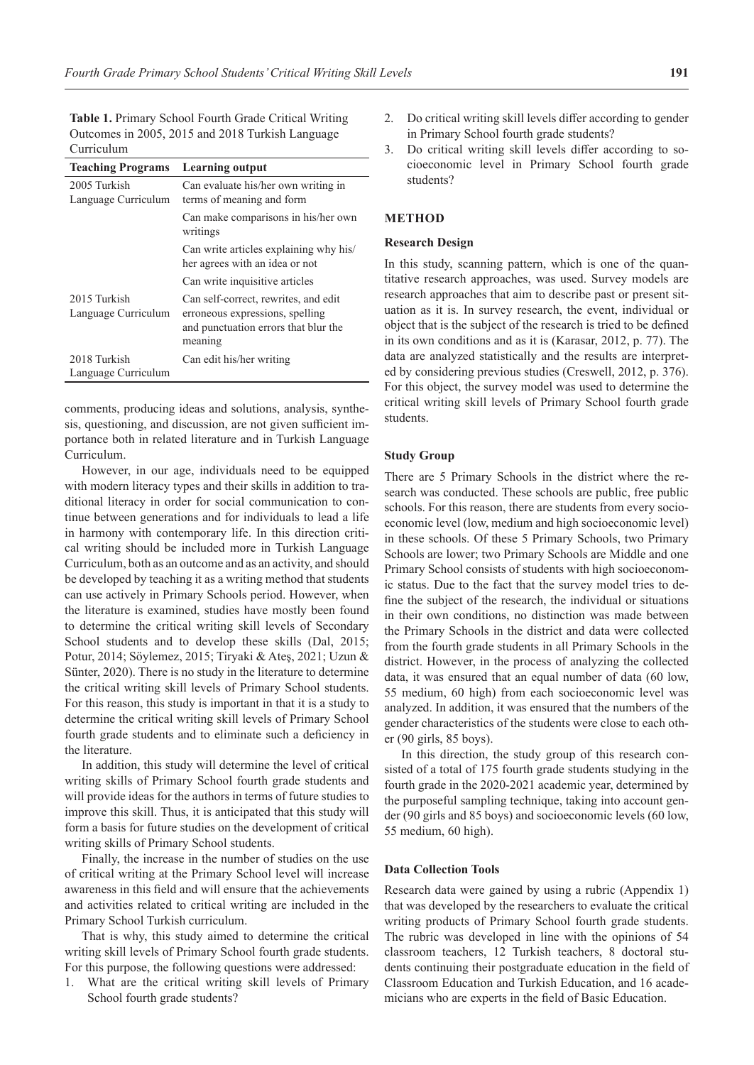**Table 1.** Primary School Fourth Grade Critical Writing Outcomes in 2005, 2015 and 2018 Turkish Language Curriculum

| <b>Teaching Programs</b>            | <b>Learning output</b>                                                                                                     |
|-------------------------------------|----------------------------------------------------------------------------------------------------------------------------|
| 2005 Turkish<br>Language Curriculum | Can evaluate his/her own writing in<br>terms of meaning and form                                                           |
|                                     |                                                                                                                            |
|                                     | Can make comparisons in his/her own<br>writings                                                                            |
|                                     | Can write articles explaining why his/<br>her agrees with an idea or not                                                   |
|                                     | Can write inquisitive articles                                                                                             |
| 2015 Turkish<br>Language Curriculum | Can self-correct, rewrites, and edit<br>erroneous expressions, spelling<br>and punctuation errors that blur the<br>meaning |
| 2018 Turkish                        | Can edit his/her writing                                                                                                   |
| Language Curriculum                 |                                                                                                                            |

comments, producing ideas and solutions, analysis, synthesis, questioning, and discussion, are not given sufficient importance both in related literature and in Turkish Language Curriculum.

However, in our age, individuals need to be equipped with modern literacy types and their skills in addition to traditional literacy in order for social communication to continue between generations and for individuals to lead a life in harmony with contemporary life. In this direction critical writing should be included more in Turkish Language Curriculum, both as an outcome and as an activity, and should be developed by teaching it as a writing method that students can use actively in Primary Schools period. However, when the literature is examined, studies have mostly been found to determine the critical writing skill levels of Secondary School students and to develop these skills (Dal, 2015; Potur, 2014; Söylemez, 2015; Tiryaki & Ateş, 2021; Uzun & Sünter, 2020). There is no study in the literature to determine the critical writing skill levels of Primary School students. For this reason, this study is important in that it is a study to determine the critical writing skill levels of Primary School fourth grade students and to eliminate such a deficiency in the literature.

In addition, this study will determine the level of critical writing skills of Primary School fourth grade students and will provide ideas for the authors in terms of future studies to improve this skill. Thus, it is anticipated that this study will form a basis for future studies on the development of critical writing skills of Primary School students.

Finally, the increase in the number of studies on the use of critical writing at the Primary School level will increase awareness in this field and will ensure that the achievements and activities related to critical writing are included in the Primary School Turkish curriculum.

That is why, this study aimed to determine the critical writing skill levels of Primary School fourth grade students. For this purpose, the following questions were addressed:

What are the critical writing skill levels of Primary School fourth grade students?

- 2. Do critical writing skill levels differ according to gender in Primary School fourth grade students?
- 3. Do critical writing skill levels differ according to socioeconomic level in Primary School fourth grade students?

# **METHOD**

# **Research Design**

In this study, scanning pattern, which is one of the quantitative research approaches, was used. Survey models are research approaches that aim to describe past or present situation as it is. In survey research, the event, individual or object that is the subject of the research is tried to be defined in its own conditions and as it is (Karasar, 2012, p. 77). The data are analyzed statistically and the results are interpreted by considering previous studies (Creswell, 2012, p. 376). For this object, the survey model was used to determine the critical writing skill levels of Primary School fourth grade students.

### **Study Group**

There are 5 Primary Schools in the district where the research was conducted. These schools are public, free public schools. For this reason, there are students from every socioeconomic level (low, medium and high socioeconomic level) in these schools. Of these 5 Primary Schools, two Primary Schools are lower; two Primary Schools are Middle and one Primary School consists of students with high socioeconomic status. Due to the fact that the survey model tries to define the subject of the research, the individual or situations in their own conditions, no distinction was made between the Primary Schools in the district and data were collected from the fourth grade students in all Primary Schools in the district. However, in the process of analyzing the collected data, it was ensured that an equal number of data (60 low, 55 medium, 60 high) from each socioeconomic level was analyzed. In addition, it was ensured that the numbers of the gender characteristics of the students were close to each other (90 girls, 85 boys).

In this direction, the study group of this research consisted of a total of 175 fourth grade students studying in the fourth grade in the 2020-2021 academic year, determined by the purposeful sampling technique, taking into account gender (90 girls and 85 boys) and socioeconomic levels (60 low, 55 medium, 60 high).

### **Data Collection Tools**

Research data were gained by using a rubric (Appendix 1) that was developed by the researchers to evaluate the critical writing products of Primary School fourth grade students. The rubric was developed in line with the opinions of 54 classroom teachers, 12 Turkish teachers, 8 doctoral students continuing their postgraduate education in the field of Classroom Education and Turkish Education, and 16 academicians who are experts in the field of Basic Education.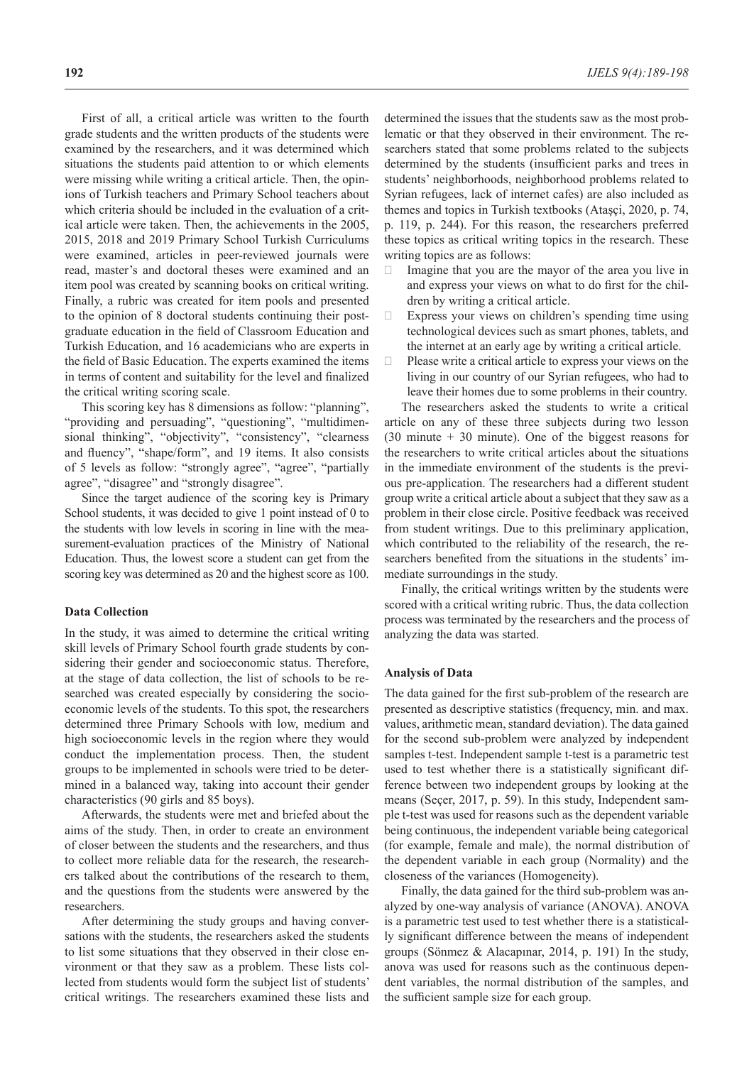First of all, a critical article was written to the fourth grade students and the written products of the students were examined by the researchers, and it was determined which situations the students paid attention to or which elements were missing while writing a critical article. Then, the opinions of Turkish teachers and Primary School teachers about which criteria should be included in the evaluation of a critical article were taken. Then, the achievements in the 2005, 2015, 2018 and 2019 Primary School Turkish Curriculums were examined, articles in peer-reviewed journals were read, master's and doctoral theses were examined and an item pool was created by scanning books on critical writing. Finally, a rubric was created for item pools and presented to the opinion of 8 doctoral students continuing their postgraduate education in the field of Classroom Education and Turkish Education, and 16 academicians who are experts in the field of Basic Education. The experts examined the items in terms of content and suitability for the level and finalized the critical writing scoring scale.

This scoring key has 8 dimensions as follow: "planning", "providing and persuading", "questioning", "multidimensional thinking", "objectivity", "consistency", "clearness and fluency", "shape/form", and 19 items. It also consists of 5 levels as follow: "strongly agree", "agree", "partially agree", "disagree" and "strongly disagree".

Since the target audience of the scoring key is Primary School students, it was decided to give 1 point instead of 0 to the students with low levels in scoring in line with the measurement-evaluation practices of the Ministry of National Education. Thus, the lowest score a student can get from the scoring key was determined as 20 and the highest score as 100.

#### **Data Collection**

In the study, it was aimed to determine the critical writing skill levels of Primary School fourth grade students by considering their gender and socioeconomic status. Therefore, at the stage of data collection, the list of schools to be researched was created especially by considering the socioeconomic levels of the students. To this spot, the researchers determined three Primary Schools with low, medium and high socioeconomic levels in the region where they would conduct the implementation process. Then, the student groups to be implemented in schools were tried to be determined in a balanced way, taking into account their gender characteristics (90 girls and 85 boys).

Afterwards, the students were met and briefed about the aims of the study. Then, in order to create an environment of closer between the students and the researchers, and thus to collect more reliable data for the research, the researchers talked about the contributions of the research to them, and the questions from the students were answered by the researchers.

After determining the study groups and having conversations with the students, the researchers asked the students to list some situations that they observed in their close environment or that they saw as a problem. These lists collected from students would form the subject list of students' critical writings. The researchers examined these lists and determined the issues that the students saw as the most problematic or that they observed in their environment. The researchers stated that some problems related to the subjects determined by the students (insufficient parks and trees in students' neighborhoods, neighborhood problems related to Syrian refugees, lack of internet cafes) are also included as themes and topics in Turkish textbooks (Ataşçi, 2020, p. 74, p. 119, p. 244). For this reason, the researchers preferred these topics as critical writing topics in the research. These writing topics are as follows:

- $\Box$  Imagine that you are the mayor of the area you live in and express your views on what to do first for the children by writing a critical article.
- $\Box$  Express your views on children's spending time using technological devices such as smart phones, tablets, and the internet at an early age by writing a critical article.
- $\Box$  Please write a critical article to express your views on the living in our country of our Syrian refugees, who had to leave their homes due to some problems in their country. The researchers asked the students to write a critical

article on any of these three subjects during two lesson (30 minute + 30 minute). One of the biggest reasons for the researchers to write critical articles about the situations in the immediate environment of the students is the previous pre-application. The researchers had a different student group write a critical article about a subject that they saw as a problem in their close circle. Positive feedback was received from student writings. Due to this preliminary application, which contributed to the reliability of the research, the researchers benefited from the situations in the students' immediate surroundings in the study.

Finally, the critical writings written by the students were scored with a critical writing rubric. Thus, the data collection process was terminated by the researchers and the process of analyzing the data was started.

#### **Analysis of Data**

The data gained for the first sub-problem of the research are presented as descriptive statistics (frequency, min. and max. values, arithmetic mean, standard deviation). The data gained for the second sub-problem were analyzed by independent samples t-test. Independent sample t-test is a parametric test used to test whether there is a statistically significant difference between two independent groups by looking at the means (Seçer, 2017, p. 59). In this study, Independent sample t-test was used for reasons such as the dependent variable being continuous, the independent variable being categorical (for example, female and male), the normal distribution of the dependent variable in each group (Normality) and the closeness of the variances (Homogeneity).

Finally, the data gained for the third sub-problem was analyzed by one-way analysis of variance (ANOVA). ANOVA is a parametric test used to test whether there is a statistically significant difference between the means of independent groups (Sönmez & Alacapınar, 2014, p. 191) In the study, anova was used for reasons such as the continuous dependent variables, the normal distribution of the samples, and the sufficient sample size for each group.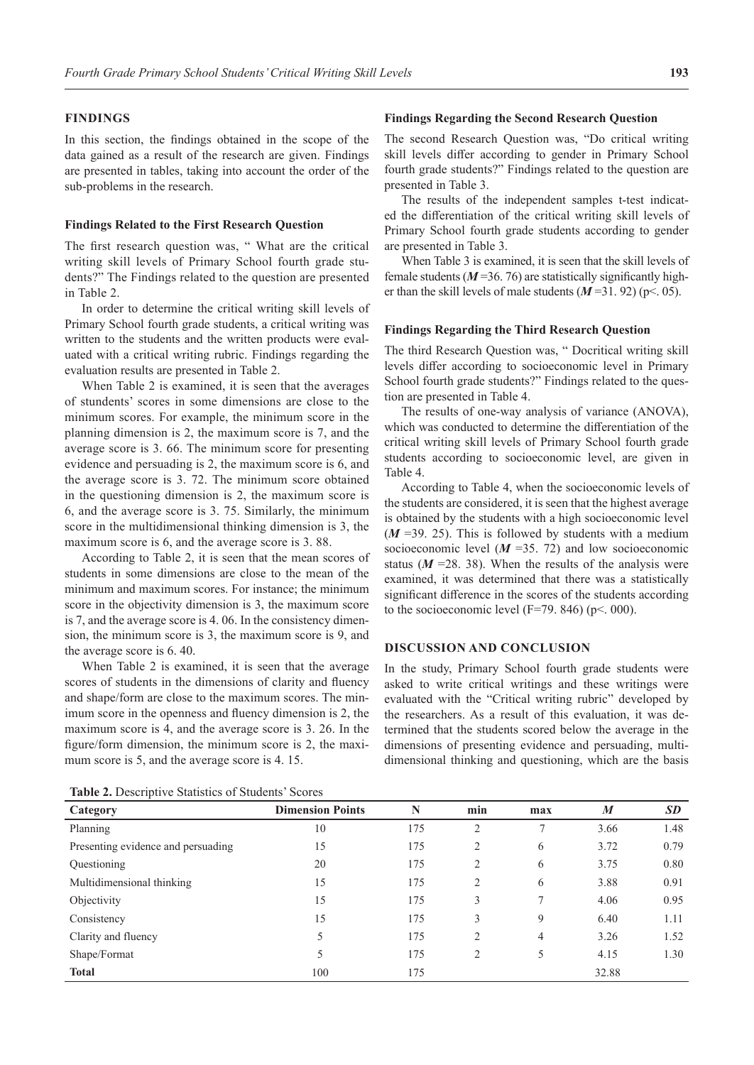### **FINDINGS**

In this section, the findings obtained in the scope of the data gained as a result of the research are given. Findings are presented in tables, taking into account the order of the sub-problems in the research.

#### **Findings Related to the First Research Question**

The first research question was, " What are the critical writing skill levels of Primary School fourth grade students?" The Findings related to the question are presented in Table 2.

In order to determine the critical writing skill levels of Primary School fourth grade students, a critical writing was written to the students and the written products were evaluated with a critical writing rubric. Findings regarding the evaluation results are presented in Table 2.

When Table 2 is examined, it is seen that the averages of stundents' scores in some dimensions are close to the minimum scores. For example, the minimum score in the planning dimension is 2, the maximum score is 7, and the average score is 3. 66. The minimum score for presenting evidence and persuading is 2, the maximum score is 6, and the average score is 3. 72. The minimum score obtained in the questioning dimension is 2, the maximum score is 6, and the average score is 3. 75. Similarly, the minimum score in the multidimensional thinking dimension is 3, the maximum score is 6, and the average score is 3. 88.

According to Table 2, it is seen that the mean scores of students in some dimensions are close to the mean of the minimum and maximum scores. For instance; the minimum score in the objectivity dimension is 3, the maximum score is 7, and the average score is 4. 06. In the consistency dimension, the minimum score is 3, the maximum score is 9, and the average score is 6. 40.

When Table 2 is examined, it is seen that the average scores of students in the dimensions of clarity and fluency and shape/form are close to the maximum scores. The minimum score in the openness and fluency dimension is 2, the maximum score is 4, and the average score is 3. 26. In the figure/form dimension, the minimum score is 2, the maximum score is 5, and the average score is 4. 15.

#### **Findings Regarding the Second Research Question**

The second Research Question was, "Do critical writing skill levels differ according to gender in Primary School fourth grade students?" Findings related to the question are presented in Table 3.

The results of the independent samples t-test indicated the differentiation of the critical writing skill levels of Primary School fourth grade students according to gender are presented in Table 3.

When Table 3 is examined, it is seen that the skill levels of female students  $(M=36, 76)$  are statistically significantly higher than the skill levels of male students  $(M=31.92)$  (p<. 05).

#### **Findings Regarding the Third Research Question**

The third Research Question was, " Docritical writing skill levels differ according to socioeconomic level in Primary School fourth grade students?" Findings related to the question are presented in Table 4.

The results of one-way analysis of variance (ANOVA), which was conducted to determine the differentiation of the critical writing skill levels of Primary School fourth grade students according to socioeconomic level, are given in Table 4.

According to Table 4, when the socioeconomic levels of the students are considered, it is seen that the highest average is obtained by the students with a high socioeconomic level  $(M = 39. 25)$ . This is followed by students with a medium socioeconomic level  $(M = 35, 72)$  and low socioeconomic status  $(M = 28.38)$ . When the results of the analysis were examined, it was determined that there was a statistically significant difference in the scores of the students according to the socioeconomic level (F=79. 846) ( $p$ < 000).

### **DISCUSSION AND CONCLUSION**

In the study, Primary School fourth grade students were asked to write critical writings and these writings were evaluated with the "Critical writing rubric" developed by the researchers. As a result of this evaluation, it was determined that the students scored below the average in the dimensions of presenting evidence and persuading, multidimensional thinking and questioning, which are the basis

**Table 2.** Descriptive Statistics of Students' Scores

| <b>Table 2.</b> Descriptive blatistics of blutteries beores |                         |     |                |     |                  |      |  |  |
|-------------------------------------------------------------|-------------------------|-----|----------------|-----|------------------|------|--|--|
| Category                                                    | <b>Dimension Points</b> | N   | min            | max | $\boldsymbol{M}$ | SD   |  |  |
| Planning                                                    | 10                      | 175 | $\overline{c}$ | 7   | 3.66             | 1.48 |  |  |
| Presenting evidence and persuading                          | 15                      | 175 | 2              | 6   | 3.72             | 0.79 |  |  |
| Questioning                                                 | 20                      | 175 | $\overline{c}$ | 6   | 3.75             | 0.80 |  |  |
| Multidimensional thinking                                   | 15                      | 175 | 2              | 6   | 3.88             | 0.91 |  |  |
| Objectivity                                                 | 15                      | 175 | 3              | 7   | 4.06             | 0.95 |  |  |
| Consistency                                                 | 15                      | 175 | 3              | 9   | 6.40             | 1.11 |  |  |
| Clarity and fluency                                         | 5                       | 175 | $\overline{c}$ | 4   | 3.26             | 1.52 |  |  |
| Shape/Format                                                | 5                       | 175 | $\overline{c}$ | 5   | 4.15             | 1.30 |  |  |
| <b>Total</b>                                                | 100                     | 175 |                |     | 32.88            |      |  |  |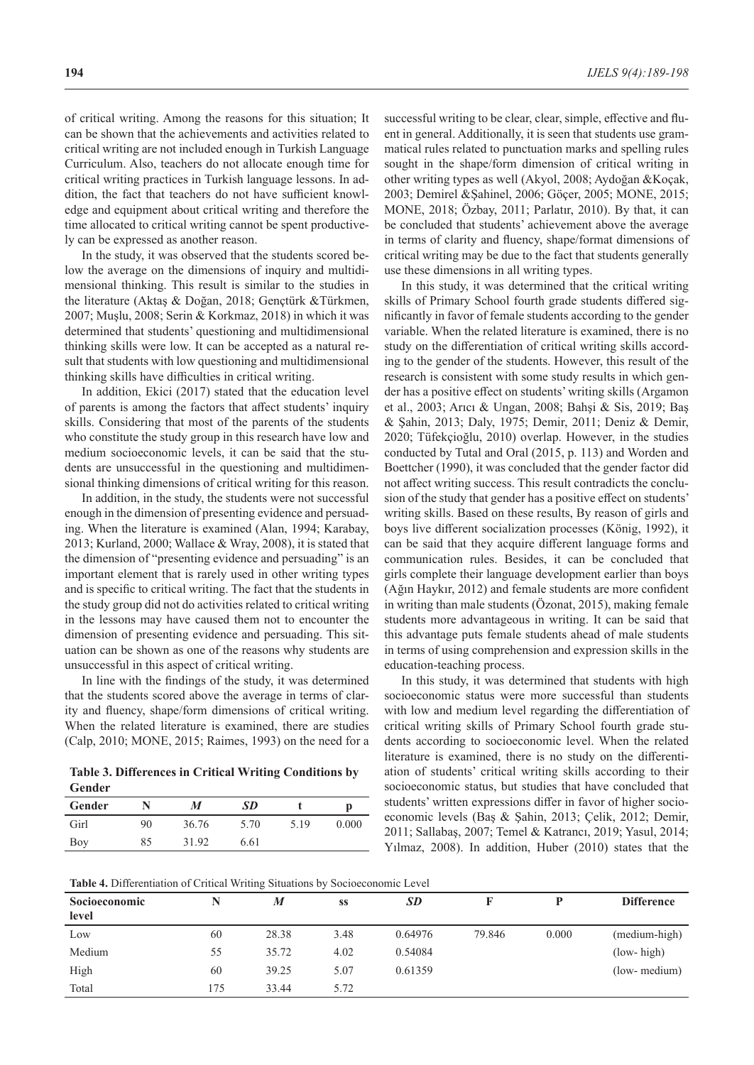of critical writing. Among the reasons for this situation; It can be shown that the achievements and activities related to critical writing are not included enough in Turkish Language Curriculum. Also, teachers do not allocate enough time for critical writing practices in Turkish language lessons. In addition, the fact that teachers do not have sufficient knowledge and equipment about critical writing and therefore the time allocated to critical writing cannot be spent productively can be expressed as another reason.

In the study, it was observed that the students scored below the average on the dimensions of inquiry and multidimensional thinking. This result is similar to the studies in the literature (Aktaş & Doğan, 2018; Gençtürk &Türkmen, 2007; Muşlu, 2008; Serin & Korkmaz, 2018) in which it was determined that students' questioning and multidimensional thinking skills were low. It can be accepted as a natural result that students with low questioning and multidimensional thinking skills have difficulties in critical writing.

In addition, Ekici (2017) stated that the education level of parents is among the factors that affect students' inquiry skills. Considering that most of the parents of the students who constitute the study group in this research have low and medium socioeconomic levels, it can be said that the students are unsuccessful in the questioning and multidimensional thinking dimensions of critical writing for this reason.

In addition, in the study, the students were not successful enough in the dimension of presenting evidence and persuading. When the literature is examined (Alan, 1994; Karabay, 2013; Kurland, 2000; Wallace & Wray, 2008), it is stated that the dimension of "presenting evidence and persuading" is an important element that is rarely used in other writing types and is specific to critical writing. The fact that the students in the study group did not do activities related to critical writing in the lessons may have caused them not to encounter the dimension of presenting evidence and persuading. This situation can be shown as one of the reasons why students are unsuccessful in this aspect of critical writing.

In line with the findings of the study, it was determined that the students scored above the average in terms of clarity and fluency, shape/form dimensions of critical writing. When the related literature is examined, there are studies (Calp, 2010; MONE, 2015; Raimes, 1993) on the need for a

**Table 3. Differences in Critical Writing Conditions by Gender**

| Gender |    | M     | SD   |      | D     |
|--------|----|-------|------|------|-------|
| Girl   | 90 | 36.76 | 5.70 | 5.19 | 0.000 |
| Boy    | 85 | 31.92 | 6.61 |      |       |

successful writing to be clear, clear, simple, effective and fluent in general. Additionally, it is seen that students use grammatical rules related to punctuation marks and spelling rules sought in the shape/form dimension of critical writing in other writing types as well (Akyol, 2008; Aydoğan &Koçak, 2003; Demirel &Şahinel, 2006; Göçer, 2005; MONE, 2015; MONE, 2018; Özbay, 2011; Parlatır, 2010). By that, it can be concluded that students' achievement above the average in terms of clarity and fluency, shape/format dimensions of critical writing may be due to the fact that students generally use these dimensions in all writing types.

In this study, it was determined that the critical writing skills of Primary School fourth grade students differed significantly in favor of female students according to the gender variable. When the related literature is examined, there is no study on the differentiation of critical writing skills according to the gender of the students. However, this result of the research is consistent with some study results in which gender has a positive effect on students' writing skills (Argamon et al., 2003; Arıcı & Ungan, 2008; Bahşi & Sis, 2019; Baş & Şahin, 2013; Daly, 1975; Demir, 2011; Deniz & Demir, 2020; Tüfekçioğlu, 2010) overlap. However, in the studies conducted by Tutal and Oral (2015, p. 113) and Worden and Boettcher (1990), it was concluded that the gender factor did not affect writing success. This result contradicts the conclusion of the study that gender has a positive effect on students' writing skills. Based on these results, By reason of girls and boys live different socialization processes (König, 1992), it can be said that they acquire different language forms and communication rules. Besides, it can be concluded that girls complete their language development earlier than boys (Ağın Haykır, 2012) and female students are more confident in writing than male students (Özonat, 2015), making female students more advantageous in writing. It can be said that this advantage puts female students ahead of male students in terms of using comprehension and expression skills in the education-teaching process.

In this study, it was determined that students with high socioeconomic status were more successful than students with low and medium level regarding the differentiation of critical writing skills of Primary School fourth grade students according to socioeconomic level. When the related literature is examined, there is no study on the differentiation of students' critical writing skills according to their socioeconomic status, but studies that have concluded that students' written expressions differ in favor of higher socioeconomic levels (Baş & Şahin, 2013; Çelik, 2012; Demir, 2011; Sallabaş, 2007; Temel & Katrancı, 2019; Yasul, 2014; Yılmaz, 2008). In addition, Huber (2010) states that the

**Table 4.** Differentiation of Critical Writing Situations by Socioeconomic Level

| <b>Socioeconomic</b> |     | M     | SS   | <b>SD</b> |        | D     | <b>Difference</b> |
|----------------------|-----|-------|------|-----------|--------|-------|-------------------|
| level                |     |       |      |           |        |       |                   |
| Low                  | 60  | 28.38 | 3.48 | 0.64976   | 79.846 | 0.000 | (medium-high)     |
| Medium               | 55  | 35.72 | 4.02 | 0.54084   |        |       | $(low - high)$    |
| High                 | 60  | 39.25 | 5.07 | 0.61359   |        |       | (low- medium)     |
| Total                | 175 | 33.44 | 5.72 |           |        |       |                   |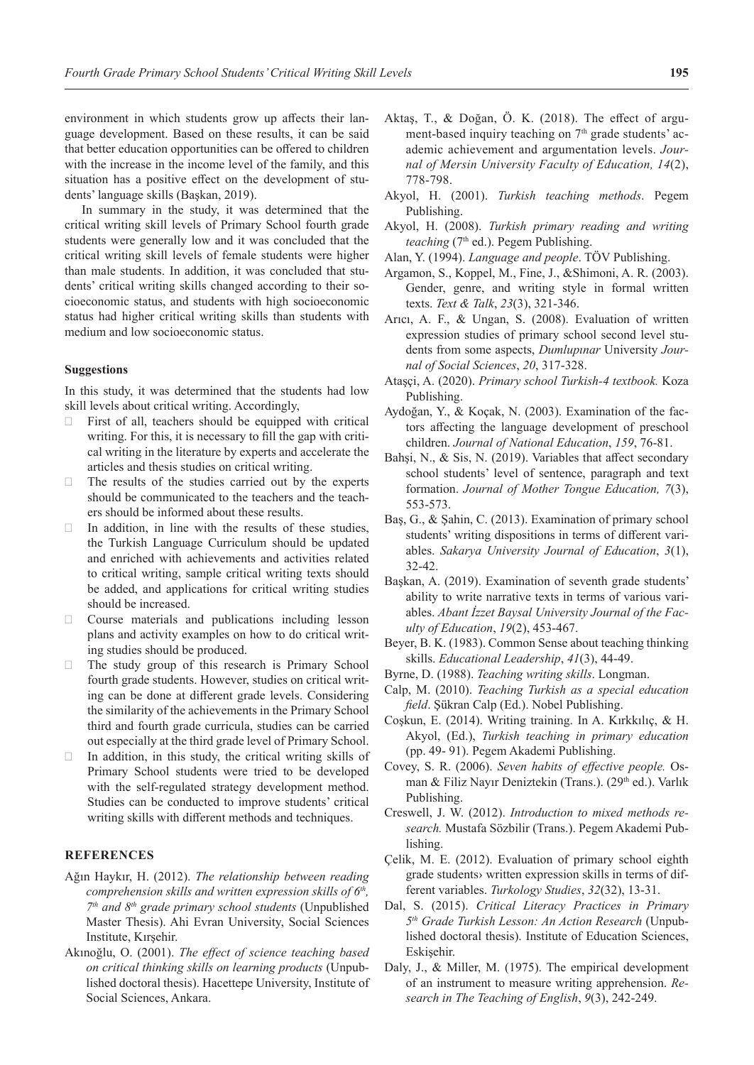environment in which students grow up affects their language development. Based on these results, it can be said that better education opportunities can be offered to children with the increase in the income level of the family, and this situation has a positive effect on the development of students' language skills (Başkan, 2019).

In summary in the study, it was determined that the critical writing skill levels of Primary School fourth grade students were generally low and it was concluded that the critical writing skill levels of female students were higher than male students. In addition, it was concluded that students' critical writing skills changed according to their socioeconomic status, and students with high socioeconomic status had higher critical writing skills than students with medium and low socioeconomic status.

### **Suggestions**

In this study, it was determined that the students had low skill levels about critical writing. Accordingly,

- $\Box$  First of all, teachers should be equipped with critical writing. For this, it is necessary to fill the gap with critical writing in the literature by experts and accelerate the articles and thesis studies on critical writing.
- The results of the studies carried out by the experts should be communicated to the teachers and the teachers should be informed about these results.
- $\Box$  In addition, in line with the results of these studies, the Turkish Language Curriculum should be updated and enriched with achievements and activities related to critical writing, sample critical writing texts should be added, and applications for critical writing studies should be increased.
- $\Box$  Course materials and publications including lesson plans and activity examples on how to do critical writing studies should be produced.
- · The study group of this research is Primary School fourth grade students. However, studies on critical writing can be done at different grade levels. Considering the similarity of the achievements in the Primary School third and fourth grade curricula, studies can be carried out especially at the third grade level of Primary School.
- $\Box$  In addition, in this study, the critical writing skills of Primary School students were tried to be developed with the self-regulated strategy development method. Studies can be conducted to improve students' critical writing skills with different methods and techniques.

### **REFERENCES**

- Ağın Haykır, H. (2012). *The relationship between reading comprehension skills and written expression skills of 6th, 7th and 8th grade primary school students* (Unpublished Master Thesis). Ahi Evran University, Social Sciences Institute, Kırşehir.
- Akınoğlu, O. (2001). *The effect of science teaching based on critical thinking skills on learning products* (Unpublished doctoral thesis). Hacettepe University, Institute of Social Sciences, Ankara.
- Aktaş, T., & Doğan, Ö. K. (2018). The effect of argument-based inquiry teaching on  $7<sup>th</sup>$  grade students' academic achievement and argumentation levels. *Journal of Mersin University Faculty of Education, 14*(2), 778-798.
- Akyol, H. (2001). *Turkish teaching methods*. Pegem Publishing.
- Akyol, H. (2008). *Turkish primary reading and writing teaching* (7<sup>th</sup> ed.). Pegem Publishing.
- Alan, Y. (1994). *Language and people*. TÖV Publishing.
- Argamon, S., Koppel, M., Fine, J., &Shimoni, A. R. (2003). Gender, genre, and writing style in formal written texts. *Text & Talk*, *23*(3), 321-346.
- Arıcı, A. F., & Ungan, S. (2008). Evaluation of written expression studies of primary school second level students from some aspects, *Dumlupınar* University *Journal of Social Sciences*, *20*, 317-328.
- Ataşçi, A. (2020). *Primary school Turkish-4 textbook.* Koza Publishing.
- Aydoğan, Y., & Koçak, N. (2003). Examination of the factors affecting the language development of preschool children. *Journal of National Education*, *159*, 76-81.
- Bahşi, N., & Sis, N. (2019). Variables that affect secondary school students' level of sentence, paragraph and text formation. *Journal of Mother Tongue Education, 7*(3), 553-573.
- Baş, G., & Şahin, C. (2013). Examination of primary school students' writing dispositions in terms of different variables. *Sakarya University Journal of Education*, *3*(1), 32-42.
- Başkan, A. (2019). Examination of seventh grade students' ability to write narrative texts in terms of various variables. *Abant İzzet Baysal University Journal of the Faculty of Education*, *19*(2), 453-467.
- Beyer, B. K. (1983). Common Sense about teaching thinking skills. *Educational Leadership*, *41*(3), 44-49.
- Byrne, D. (1988). *Teaching writing skills*. Longman.
- Calp, M. (2010). *Teaching Turkish as a special education field*. Şükran Calp (Ed.). Nobel Publishing.
- Coşkun, E. (2014). Writing training. In A. Kırkkılıç, & H. Akyol, (Ed.), *Turkish teaching in primary education* (pp. 49- 91). Pegem Akademi Publishing.
- Covey, S. R. (2006). *Seven habits of effective people.* Osman & Filiz Nayır Deniztekin (Trans.). (29<sup>th</sup> ed.). Varlık Publishing.
- Creswell, J. W. (2012). *Introduction to mixed methods research.* Mustafa Sözbilir (Trans.). Pegem Akademi Publishing.
- Çelik, M. E. (2012). Evaluation of primary school eighth grade students› written expression skills in terms of different variables. *Turkology Studies*, *32*(32), 13-31.
- Dal, S. (2015). *Critical Literacy Practices in Primary 5th Grade Turkish Lesson: An Action Research* (Unpublished doctoral thesis). Institute of Education Sciences, Eskişehir.
- Daly, J., & Miller, M. (1975). The empirical development of an instrument to measure writing apprehension. *Research in The Teaching of English*, *9*(3), 242-249.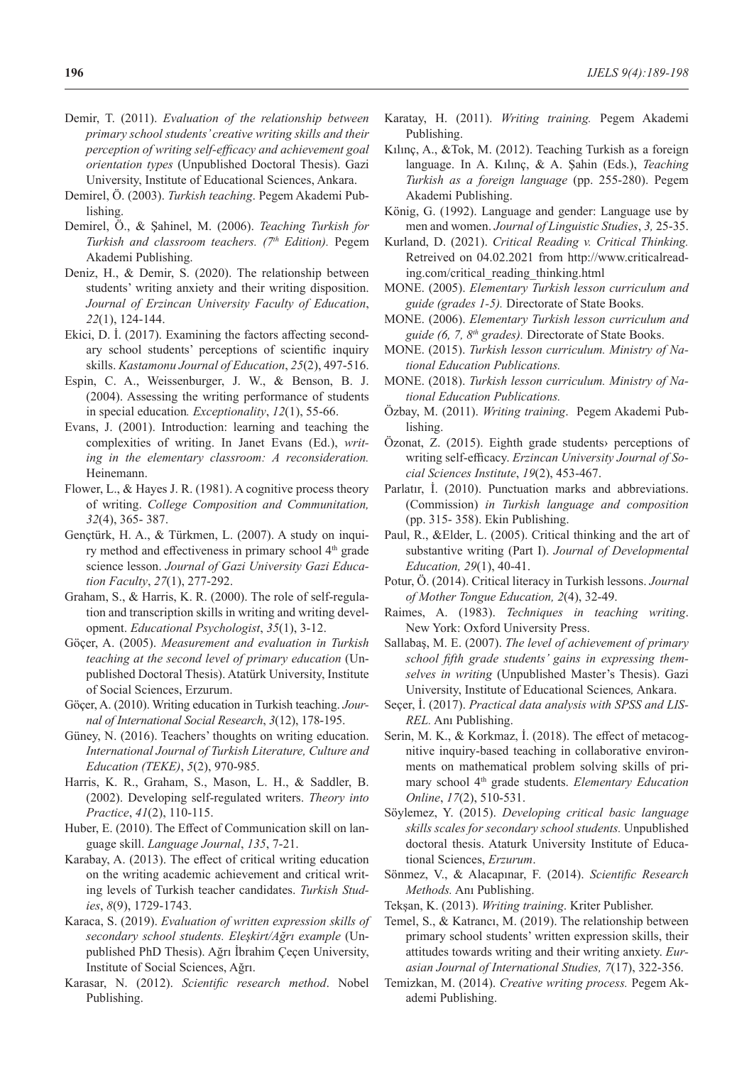- Demir, T. (2011). *Evaluation of the relationship between primary school students' creative writing skills and their perception of writing self-efficacy and achievement goal orientation types* (Unpublished Doctoral Thesis). Gazi University, Institute of Educational Sciences, Ankara.
- Demirel, Ö. (2003). *Turkish teaching*. Pegem Akademi Publishing.
- Demirel, Ö., & Şahinel, M. (2006). *Teaching Turkish for Turkish and classroom teachers. (7th Edition).* Pegem Akademi Publishing.
- Deniz, H., & Demir, S. (2020). The relationship between students' writing anxiety and their writing disposition. *Journal of Erzincan University Faculty of Education*, *22*(1), 124-144.
- Ekici, D. İ. (2017). Examining the factors affecting secondary school students' perceptions of scientific inquiry skills. *Kastamonu Journal of Education*, *25*(2), 497-516.
- Espin, C. A., Weissenburger, J. W., & Benson, B. J. (2004). Assessing the writing performance of students in special education*. Exceptionality*, *12*(1), 55-66.
- Evans, J. (2001). Introduction: learning and teaching the complexities of writing. In Janet Evans (Ed.), *writing in the elementary classroom: A reconsideration.* Heinemann.
- Flower, L., & Hayes J. R. (1981). A cognitive process theory of writing. *College Composition and Communitation, 32*(4), 365- 387.
- Gençtürk, H. A., & Türkmen, L. (2007). A study on inquiry method and effectiveness in primary school 4<sup>th</sup> grade science lesson. *Journal of Gazi University Gazi Education Faculty*, *27*(1), 277-292.
- Graham, S., & Harris, K. R. (2000). The role of self-regulation and transcription skills in writing and writing development. *Educational Psychologist*, *35*(1), 3-12.
- Göçer, A. (2005). *Measurement and evaluation in Turkish teaching at the second level of primary education* (Unpublished Doctoral Thesis). Atatürk University, Institute of Social Sciences, Erzurum.
- Göçer, A. (2010). Writing education in Turkish teaching. *Journal of International Social Research*, *3*(12), 178-195.
- Güney, N. (2016). Teachers' thoughts on writing education. *International Journal of Turkish Literature, Culture and Education (TEKE)*, *5*(2), 970-985.
- Harris, K. R., Graham, S., Mason, L. H., & Saddler, B. (2002). Developing self-regulated writers. *Theory into Practice*, *41*(2), 110-115.
- Huber, E. (2010). The Effect of Communication skill on language skill. *Language Journal*, *135*, 7-21.
- Karabay, A. (2013). The effect of critical writing education on the writing academic achievement and critical writing levels of Turkish teacher candidates. *Turkish Studies*, *8*(9), 1729-1743.
- Karaca, S. (2019). *Evaluation of written expression skills of secondary school students. Eleşkirt/Ağrı example* (Unpublished PhD Thesis). Ağrı İbrahim Çeçen University, Institute of Social Sciences, Ağrı.
- Karasar, N. (2012). *Scientific research method*. Nobel Publishing.
- Karatay, H. (2011). *Writing training.* Pegem Akademi Publishing.
- Kılınç, A., &Tok, M. (2012). Teaching Turkish as a foreign language. In A. Kılınç, & A. Şahin (Eds.), *Teaching Turkish as a foreign language* (pp. 255-280). Pegem Akademi Publishing.
- König, G. (1992). Language and gender: Language use by men and women. *Journal of Linguistic Studies*, *3,* 25-35.
- Kurland, D. (2021). *Critical Reading v. Critical Thinking.*  Retreived on 04.02.2021 from http://www.criticalreading.com/critical\_reading\_thinking.html
- MONE. (2005). *Elementary Turkish lesson curriculum and guide (grades 1-5).* Directorate of State Books.
- MONE. (2006). *Elementary Turkish lesson curriculum and guide (6, 7, 8th grades).* Directorate of State Books.
- MONE. (2015). *Turkish lesson curriculum. Ministry of National Education Publications.*
- MONE. (2018). *Turkish lesson curriculum. Ministry of National Education Publications.*
- Özbay, M. (2011). *Writing training*. Pegem Akademi Publishing.
- Özonat, Z. (2015). Eighth grade students› perceptions of writing self-efficacy. *Erzincan University Journal of Social Sciences Institute*, *19*(2), 453-467.
- Parlatır, İ. (2010). Punctuation marks and abbreviations. (Commission) *in Turkish language and composition*  (pp. 315- 358). Ekin Publishing.
- Paul, R., &Elder, L. (2005). Critical thinking and the art of substantive writing (Part I). *Journal of Developmental Education, 29*(1), 40-41.
- Potur, Ö. (2014). Critical literacy in Turkish lessons. *Journal of Mother Tongue Education, 2*(4), 32-49.
- Raimes, A. (1983). *Techniques in teaching writing*. New York: Oxford University Press.
- Sallabaş, M. E. (2007). *The level of achievement of primary school fifth grade students' gains in expressing themselves in writing* (Unpublished Master's Thesis). Gazi University, Institute of Educational Sciences*,* Ankara.
- Seçer, İ. (2017). *Practical data analysis with SPSS and LIS-REL.* Anı Publishing.
- Serin, M. K., & Korkmaz, İ. (2018). The effect of metacognitive inquiry-based teaching in collaborative environments on mathematical problem solving skills of primary school 4th grade students. *Elementary Education Online*, *17*(2), 510-531.
- Söylemez, Y. (2015). *Developing critical basic language skills scales for secondary school students.* Unpublished doctoral thesis. Ataturk University Institute of Educational Sciences, *Erzurum*.
- Sönmez, V., & Alacapınar, F. (2014). *Scientific Research Methods.* Anı Publishing.
- Tekşan, K. (2013). *Writing training*. Kriter Publisher.
- Temel, S., & Katrancı, M. (2019). The relationship between primary school students' written expression skills, their attitudes towards writing and their writing anxiety. *Eurasian Journal of International Studies, 7*(17), 322-356.
- Temizkan, M. (2014). *Creative writing process.* Pegem Akademi Publishing.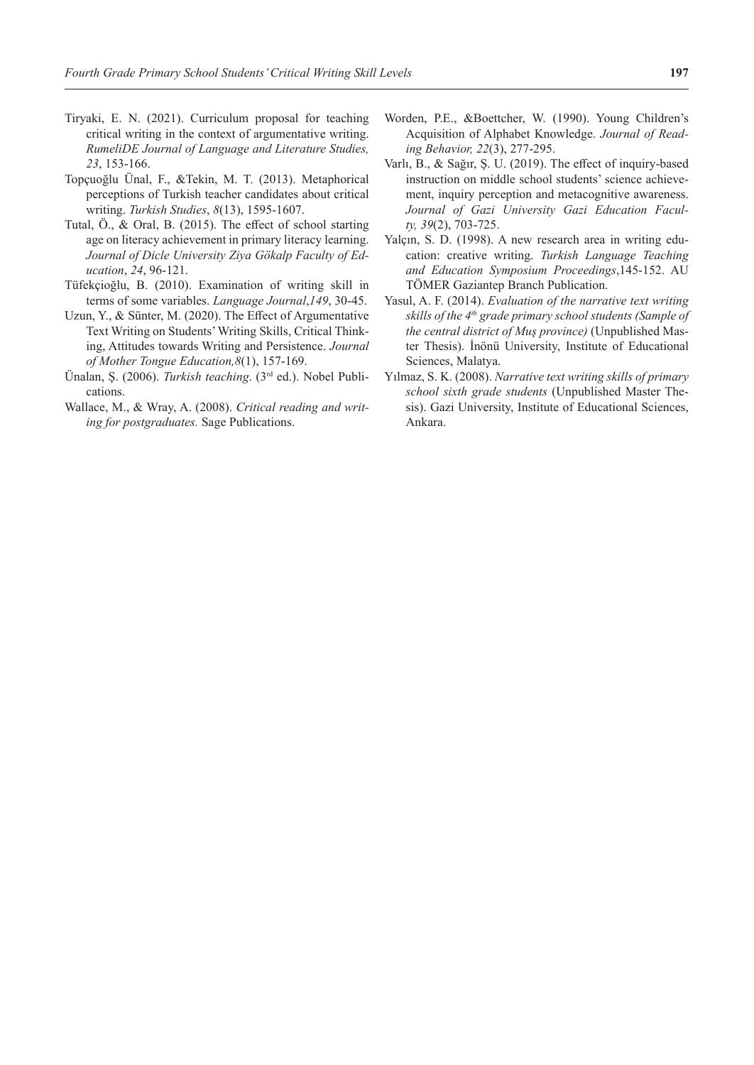- Tiryaki, E. N. (2021). Curriculum proposal for teaching critical writing in the context of argumentative writing. *RumeliDE Journal of Language and Literature Studies, 23*, 153-166.
- Topçuoğlu Ünal, F., &Tekin, M. T. (2013). Metaphorical perceptions of Turkish teacher candidates about critical writing. *Turkish Studies*, *8*(13), 1595-1607.
- Tutal, Ö., & Oral, B. (2015). The effect of school starting age on literacy achievement in primary literacy learning. *Journal of Dicle University Ziya Gökalp Faculty of Education*, *24*, 96-121.
- Tüfekçioğlu, B. (2010). Examination of writing skill in terms of some variables. *Language Journal*,*149*, 30-45.
- Uzun, Y., & Sünter, M. (2020). The Effect of Argumentative Text Writing on Students' Writing Skills, Critical Thinking, Attitudes towards Writing and Persistence. *Journal of Mother Tongue Education,8*(1), 157-169.
- Ünalan, Ş. (2006). *Turkish teaching*. (3rd ed.). Nobel Publications.
- Wallace, M., & Wray, A. (2008). *Critical reading and writing for postgraduates.* Sage Publications.
- Worden, P.E., &Boettcher, W. (1990). Young Children's Acquisition of Alphabet Knowledge. *Journal of Reading Behavior, 22*(3), 277-295.
- Varlı, B., & Sağır, Ş. U. (2019). The effect of inquiry-based instruction on middle school students' science achievement, inquiry perception and metacognitive awareness. *Journal of Gazi University Gazi Education Faculty, 39*(2), 703-725.
- Yalçın, S. D. (1998). A new research area in writing education: creative writing. *Turkish Language Teaching and Education Symposium Proceedings*,145-152. AU TÖMER Gaziantep Branch Publication.
- Yasul, A. F. (2014). *Evaluation of the narrative text writing skills of the 4th grade primary school students (Sample of the central district of Muş province)* (Unpublished Master Thesis). İnönü University, Institute of Educational Sciences, Malatya.
- Yılmaz, S. K. (2008). *Narrative text writing skills of primary school sixth grade students* (Unpublished Master Thesis). Gazi University, Institute of Educational Sciences, Ankara.